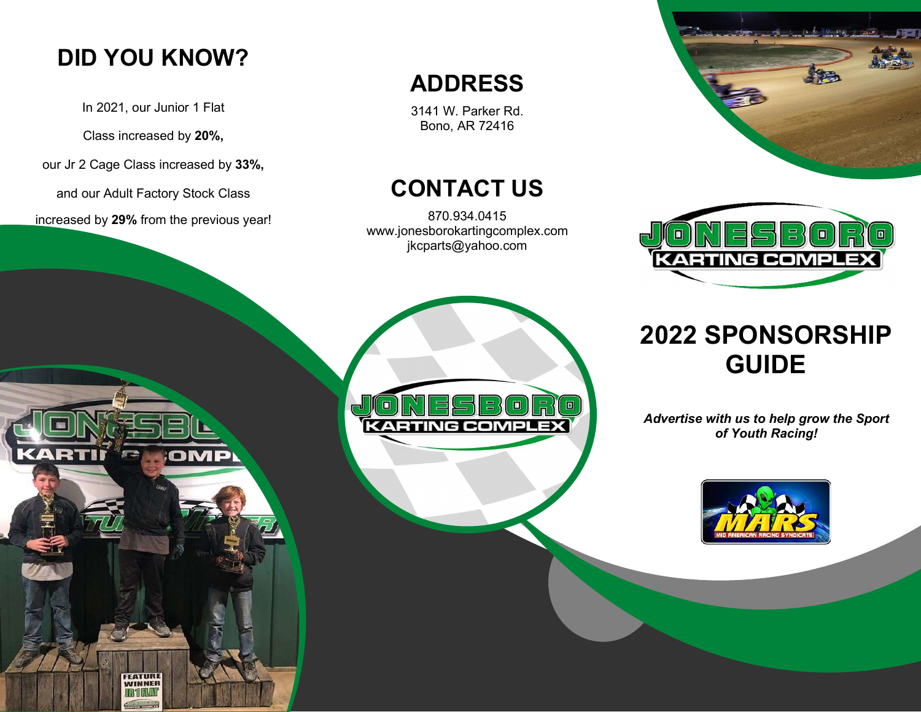## DID YOU KNOW?

In 2021, our Junior 1 Flat

Class increased by 20%,

our Jr 2 Cage Class increased by 33%,

and our Adult Factory Stock Class

increased by 29% from the previous year!

OMP

Ì

ARTIÏ

'எ=

**FEATURE WINNER** 

### ADDRESS

3141 W. Parker Rd. Bono, AR 72416

## CONTACT US

870.934.0415 www.jonesborokartingcomplex.com jkcparts@yahoo.com





# 2022 SPONSORSHIP GUIDE

Advertise with us to help grow the Sport of Youth Racing!